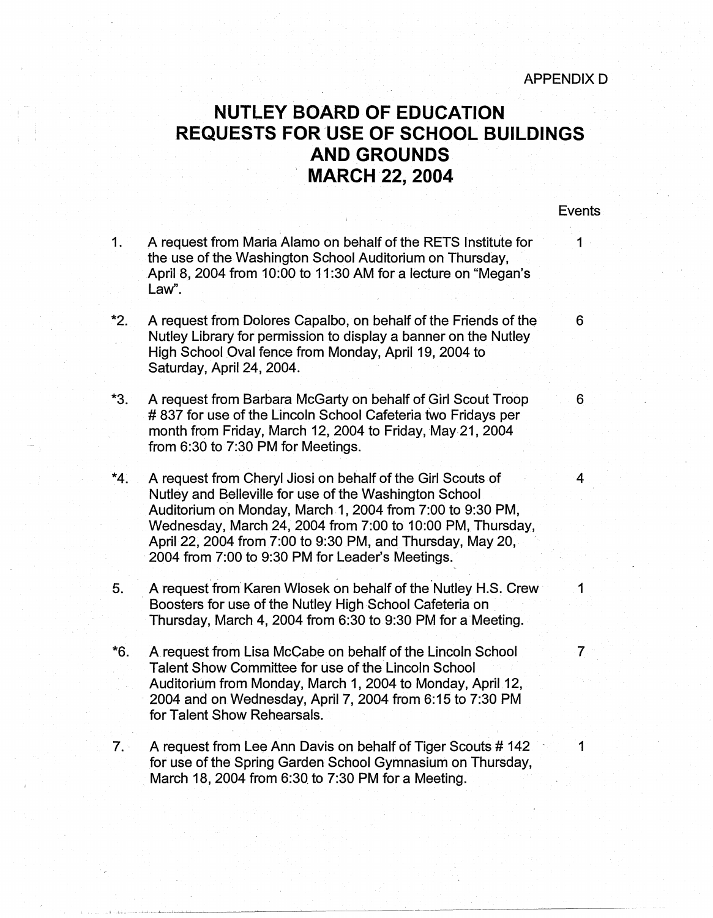## **NUTLEY BOARD OF EDUCATION REQUESTS FOR.USE OF SCHOOL BUILDINGS AND GROUNDS MARCH 22, 2004**

## Events

1. A request from Maria Alamo on behalf of the RETS Institute for 1 the use of the Washington School Auditorium on Thursday, April 8, 2004 from 10:00 to 11 :30 AM for a lecture on "Megan's Law".

i '

- \*2. A request from Dolores Capalbo, on behalf of the Friends of the 6 Nutley Library for permission to display a banner on the Nutley High School Oval fence from Monday, April 19, 2004 to Saturday, April 24, 2004.
- \*3. A request from Barbara McGarty on behalf of Girl Scout Troop 6 # 837 for use of the Lincoln School Cafeteria two Fridays per month from Friday, March 12, 2004 to Friday, May-21, 2004 from 6:30 to 7:30 PM for Meetings.
- \*4. A request from Cheryl Jiosi on behalf of the Girl Scouts of 4 Nutley and Belleville for use of the Washington School Auditorium on Monday, March 1, 2004 from 7:00 to 9:30 PM, Wednesday, March 24, 2004 from 7:00 to 10:00 PM, Thursday, April 22, 2004 from 7:00 to 9:30 PM, and Thursday, May 20, 2004 from 7:00 to 9:30 PM for Leader's Meetings.
- 5. A request from Karen Wlosek on behalf of the Nutley H.S. Crew 1 Boosters for use of the Nutley High School Cafeteria on Thursday, March 4, 2004 from 6:30 to 9:30 PM for a Meeting.
- \*6. A request from Lisa McCape on behalf of the Lincoln School 7 Talent Show Committee for use of the Lincoln School Auditorium from Monday, March 1, 2004 to Monday, April 12, · 2004 and on Wednesday, April 7, 2004 from 6:15 to 7:30 PM for Talent Show Rehearsals.
- 7. A request from Lee Ann Davis on behalf of Tiger Scouts # 142 1 for use of the Spring Garden School Gymnasium on Thursday, March 18, 2004 from 6:30. to 7:30 PM for a Meeting.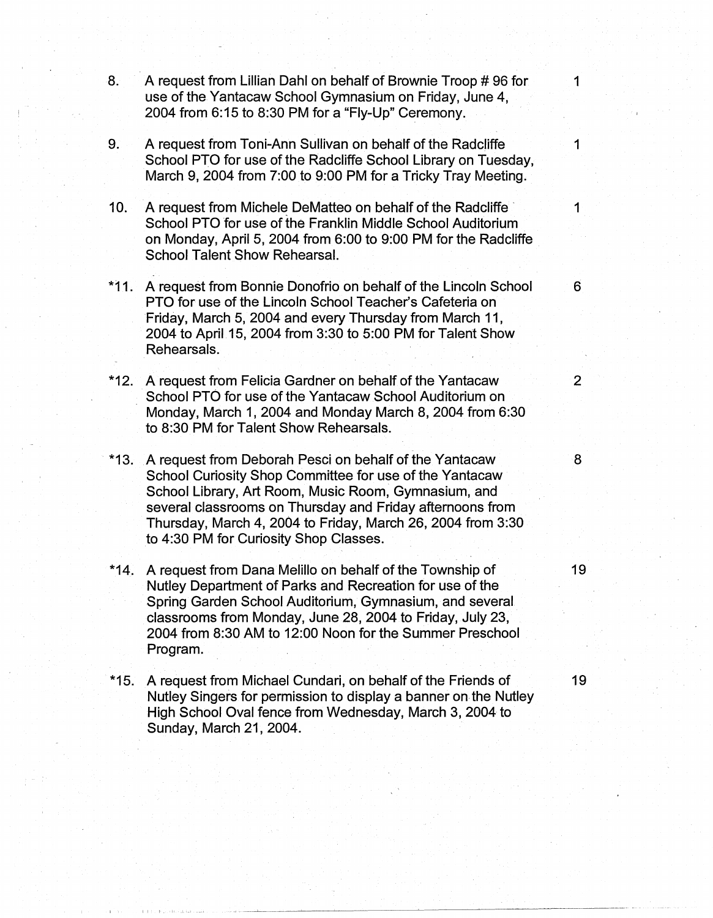- 8. A request from Lillian Dahl on behalf of Brownie Troop #96 for 1 use of the Yantacaw School Gymnasium on Friday, June 4, 2004 from 6:15 to 8:30 PM for a "Fly-Up" Ceremony.
- 9. A request from Toni-Ann Sullivan on behalf of the Radcliffe 1 School PTO for use of the Radcliffe School Library on Tuesday, March 9, 2004 from 7:00 to 9:00 PM for a Tricky Tray Meeting.
- 10. A request from Michele DeMatteo on behalf of the Radcliffe  $\sim$  1 School PTO for use of the Franklin Middle School Auditorium on Monday, April 5, 2004 from 6:00 to 9:00 PM for the Radcliffe School Talent Show Rehearsal.
- \*11. A request from Bonnie Donofrio on behalf of the Lincoln School 6 PTO for use of the Lincoln School Teacher's Cafeteria on Friday, March 5, 2004 and every Thursday from March 11, 2004 to April 15, 2004 from 3:30 to 5:00 PM for Talent Show Rehearsals.
- \*12. A request from Felicia Gardner on behalf of the Yantacaw 2 School PTO for use of the Yantacaw School Auditorium on Monday, March 1, 2004 and Monday March 8, 2004 from 6:30 to 8:30 PM for Talent Show Rehearsals.
- · \*13. A request from Deborah Pesci on behalf of the Yantacaw 8 School Curiosity Shop Committee for use of the Yantacaw School Library, Art Room, Music Room, Gymnasium, and several classrooms on Thursday and Friday afternoons from Thursday, March 4, 2004 to Friday, March 26, 2004 from 3:30 to 4:30 PM for Curiosity Shop Classes.
- \*14. A request from Dana Melillo on behalf of the Township of 19 Nutley Department of Parks and Recreation for use of the Spring Garden School Auditorium, Gymnasium, and several . classrooms from Monday, June 28, 2004 to Friday, July 23, 2004 from 8:30 AM to 12:00 Noon for the Summer Preschool Program.
- \*15. A request from Michael Cundari, on behalf of the Friends of 19 Nutley Singers for permission to display a banner on the Nutley High School Oval fence from Wednesday, March 3, 2004 to Sunday, March 21, 2004.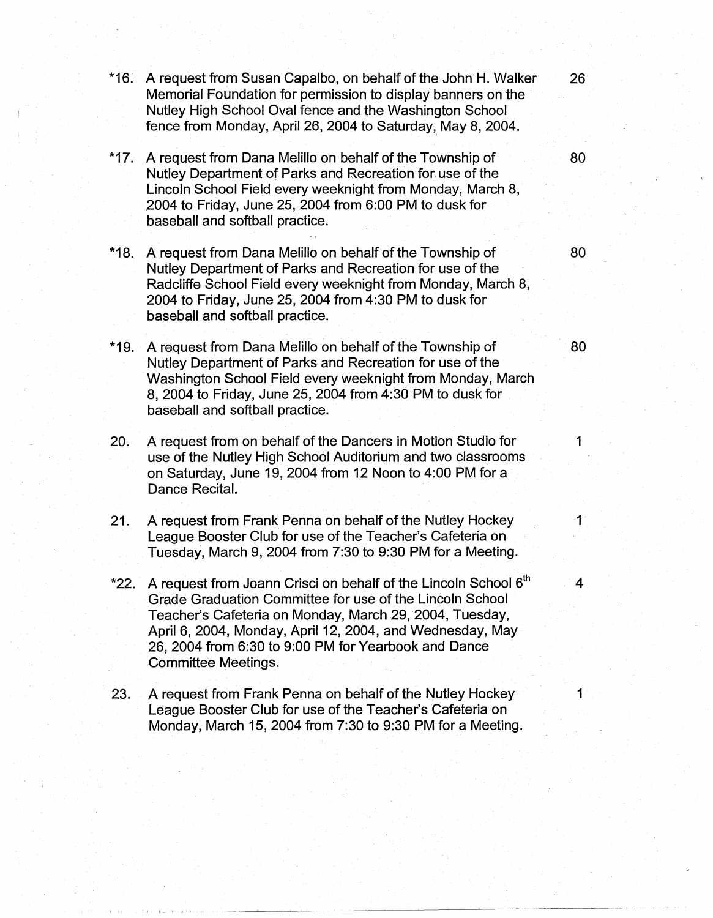| $*16.$ | A request from Susan Capalbo, on behalf of the John H. Walker<br>Memorial Foundation for permission to display banners on the<br>Nutley High School Oval fence and the Washington School<br>fence from Monday, April 26, 2004 to Saturday, May 8, 2004.                                                                                               | 26                     |
|--------|-------------------------------------------------------------------------------------------------------------------------------------------------------------------------------------------------------------------------------------------------------------------------------------------------------------------------------------------------------|------------------------|
| $*17.$ | A request from Dana Melillo on behalf of the Township of<br>Nutley Department of Parks and Recreation for use of the<br>Lincoln School Field every weeknight from Monday, March 8,<br>2004 to Friday, June 25, 2004 from 6:00 PM to dusk for<br>baseball and softball practice.                                                                       | 80                     |
| $*18.$ | A request from Dana Melillo on behalf of the Township of<br>Nutley Department of Parks and Recreation for use of the<br>Radcliffe School Field every weeknight from Monday, March 8,<br>2004 to Friday, June 25, 2004 from 4:30 PM to dusk for<br>baseball and softball practice.                                                                     | 80                     |
| *19.   | A request from Dana Melillo on behalf of the Township of<br>Nutley Department of Parks and Recreation for use of the<br>Washington School Field every weeknight from Monday, March<br>8, 2004 to Friday, June 25, 2004 from 4:30 PM to dusk for<br>baseball and softball practice.                                                                    | 80                     |
| 20.    | A request from on behalf of the Dancers in Motion Studio for<br>use of the Nutley High School Auditorium and two classrooms<br>on Saturday, June 19, 2004 from 12 Noon to 4:00 PM for a<br>Dance Recital.                                                                                                                                             | 1                      |
| 21.    | A request from Frank Penna on behalf of the Nutley Hockey<br>League Booster Club for use of the Teacher's Cafeteria on<br>Tuesday, March 9, 2004 from 7:30 to 9:30 PM for a Meeting.                                                                                                                                                                  | $\blacktriangleleft$ : |
| *22.   | A request from Joann Crisci on behalf of the Lincoln School 6 <sup>th</sup><br>Grade Graduation Committee for use of the Lincoln School<br>Teacher's Cafeteria on Monday, March 29, 2004, Tuesday,<br>April 6, 2004, Monday, April 12, 2004, and Wednesday, May<br>26, 2004 from 6:30 to 9:00 PM for Yearbook and Dance<br><b>Committee Meetings.</b> |                        |
| 23.    | A request from Frank Penna on behalf of the Nutley Hockey<br>League Booster Club for use of the Teacher's Cafeteria on<br>Monday, March 15, 2004 from 7:30 to 9:30 PM for a Meeting.                                                                                                                                                                  |                        |
|        |                                                                                                                                                                                                                                                                                                                                                       |                        |